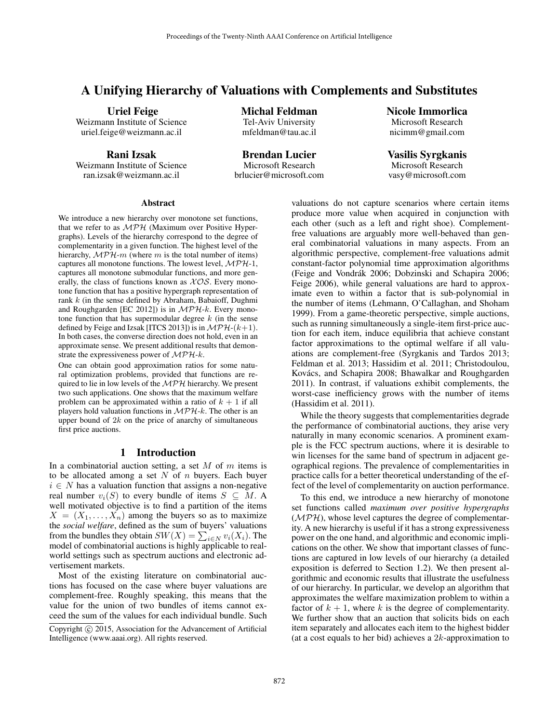# A Unifying Hierarchy of Valuations with Complements and Substitutes

Uriel Feige

Weizmann Institute of Science uriel.feige@weizmann.ac.il

Rani Izsak Weizmann Institute of Science

ran.izsak@weizmann.ac.il

Michal Feldman Tel-Aviv University mfeldman@tau.ac.il

Brendan Lucier Microsoft Research brlucier@microsoft.com Nicole Immorlica Microsoft Research nicimm@gmail.com

Vasilis Syrgkanis Microsoft Research vasy@microsoft.com

#### **Abstract**

We introduce a new hierarchy over monotone set functions, that we refer to as  $MPH$  (Maximum over Positive Hypergraphs). Levels of the hierarchy correspond to the degree of complementarity in a given function. The highest level of the hierarchy,  $\mathcal{MPH}\text{-}m$  (where m is the total number of items) captures all monotone functions. The lowest level,  $MPH-1$ , captures all monotone submodular functions, and more generally, the class of functions known as  $XOS$ . Every monotone function that has a positive hypergraph representation of rank k (in the sense defined by Abraham, Babaioff, Dughmi and Roughgarden [EC 2012]) is in  $MPH-k$ . Every monotone function that has supermodular degree  $k$  (in the sense defined by Feige and Izsak [ITCS 2013]) is in  $\mathcal{MPH}-(k+1)$ . In both cases, the converse direction does not hold, even in an approximate sense. We present additional results that demonstrate the expressiveness power of  $MPH-k$ .

One can obtain good approximation ratios for some natural optimization problems, provided that functions are required to lie in low levels of the  $MPH$  hierarchy. We present two such applications. One shows that the maximum welfare problem can be approximated within a ratio of  $k + 1$  if all players hold valuation functions in  $MPH-k$ . The other is an upper bound of  $2k$  on the price of anarchy of simultaneous first price auctions.

### 1 Introduction

In a combinatorial auction setting, a set  $M$  of  $m$  items is to be allocated among a set  $N$  of  $n$  buyers. Each buyer  $i \in N$  has a valuation function that assigns a non-negative real number  $v_i(S)$  to every bundle of items  $S \subseteq M$ . A well motivated objective is to find a partition of the items  $X = (X_1, \ldots, X_n)$  among the buyers so as to maximize the *social welfare*, defined as the sum of buyers' valuations from the bundles they obtain  $SW(X) = \sum_{i \in N} v_i(X_i)$ . The model of combinatorial auctions is highly applicable to realworld settings such as spectrum auctions and electronic advertisement markets.

Most of the existing literature on combinatorial auctions has focused on the case where buyer valuations are complement-free. Roughly speaking, this means that the value for the union of two bundles of items cannot exceed the sum of the values for each individual bundle. Such

valuations do not capture scenarios where certain items produce more value when acquired in conjunction with each other (such as a left and right shoe). Complementfree valuations are arguably more well-behaved than general combinatorial valuations in many aspects. From an algorithmic perspective, complement-free valuations admit constant-factor polynomial time approximation algorithms (Feige and Vondrák 2006; Dobzinski and Schapira 2006; Feige 2006), while general valuations are hard to approximate even to within a factor that is sub-polynomial in the number of items (Lehmann, O'Callaghan, and Shoham 1999). From a game-theoretic perspective, simple auctions, such as running simultaneously a single-item first-price auction for each item, induce equilibria that achieve constant factor approximations to the optimal welfare if all valuations are complement-free (Syrgkanis and Tardos 2013; Feldman et al. 2013; Hassidim et al. 2011; Christodoulou, Kovács, and Schapira 2008; Bhawalkar and Roughgarden 2011). In contrast, if valuations exhibit complements, the worst-case inefficiency grows with the number of items (Hassidim et al. 2011).

While the theory suggests that complementarities degrade the performance of combinatorial auctions, they arise very naturally in many economic scenarios. A prominent example is the FCC spectrum auctions, where it is desirable to win licenses for the same band of spectrum in adjacent geographical regions. The prevalence of complementarities in practice calls for a better theoretical understanding of the effect of the level of complementarity on auction performance.

To this end, we introduce a new hierarchy of monotone set functions called *maximum over positive hypergraphs*  $(MPH)$ , whose level captures the degree of complementarity. A new hierarchy is useful if it has a strong expressiveness power on the one hand, and algorithmic and economic implications on the other. We show that important classes of functions are captured in low levels of our hierarchy (a detailed exposition is deferred to Section 1.2). We then present algorithmic and economic results that illustrate the usefulness of our hierarchy. In particular, we develop an algorithm that approximates the welfare maximization problem to within a factor of  $k + 1$ , where k is the degree of complementarity. We further show that an auction that solicits bids on each item separately and allocates each item to the highest bidder (at a cost equals to her bid) achieves a  $2k$ -approximation to

Copyright (c) 2015, Association for the Advancement of Artificial Intelligence (www.aaai.org). All rights reserved.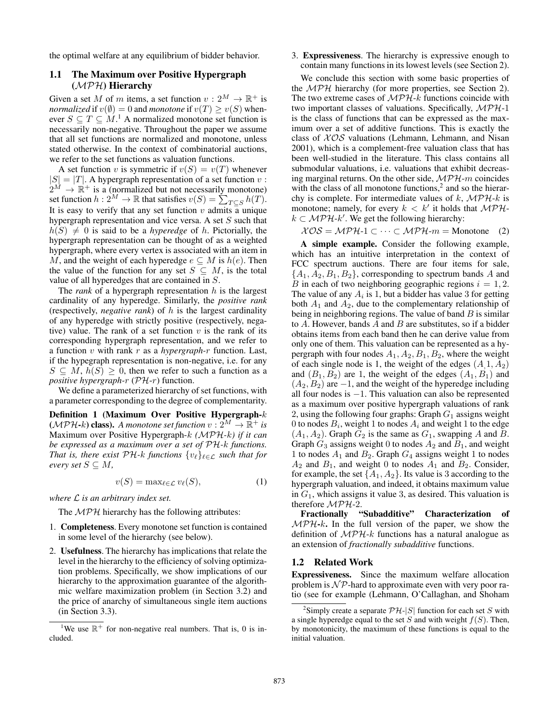the optimal welfare at any equilibrium of bidder behavior.

# 1.1 The Maximum over Positive Hypergraph (MPH) Hierarchy

Given a set M of m items, a set function  $v: 2^M \to \mathbb{R}^+$  is *normalized* if  $v(\emptyset) = 0$  and *monotone* if  $v(T) \ge v(S)$  whenever  $S \subseteq T \subseteq M$ .<sup>1</sup> A normalized monotone set function is necessarily non-negative. Throughout the paper we assume that all set functions are normalized and monotone, unless stated otherwise. In the context of combinatorial auctions, we refer to the set functions as valuation functions.

A set function v is symmetric if  $v(S) = v(T)$  whenever  $|S| = |T|$ . A hypergraph representation of a set function v:  $2^M \rightarrow \mathbb{R}^+$  is a (normalized but not necessarily monotone) set function  $h: 2^M \to \mathbb{R}$  that satisfies  $v(S) = \sum_{T \subseteq S} h(T)$ . It is easy to verify that any set function  $v$  admits a unique hypergraph representation and vice versa. A set  $S$  such that  $h(S) \neq 0$  is said to be a *hyperedge* of h. Pictorially, the hypergraph representation can be thought of as a weighted hypergraph, where every vertex is associated with an item in M, and the weight of each hyperedge  $e \subseteq M$  is  $h(e)$ . Then the value of the function for any set  $S \subseteq M$ , is the total value of all hyperedges that are contained in S.

The *rank* of a hypergraph representation h is the largest cardinality of any hyperedge. Similarly, the *positive rank* (respectively, *negative rank*) of h is the largest cardinality of any hyperedge with strictly positive (respectively, negative) value. The rank of a set function  $v$  is the rank of its corresponding hypergraph representation, and we refer to a function v with rank r as a *hypergraph-*r function. Last, if the hypegraph representation is non-negative, i.e. for any  $S \subseteq M$ ,  $h(S) \geq 0$ , then we refer to such a function as a *positive hypergraph-*r (PH-r) function.

We define a parameterized hierarchy of set functions, with a parameter corresponding to the degree of complementarity.

Definition 1 (Maximum Over Positive Hypergraph-k  $(\mathcal{MPH\text{-}k})$  class). A monotone set function  $v: 2^M \to \mathbb{R}^+$  is Maximum over Positive Hypergraph-k *(*MPH*-*k*) if it can be expressed as a maximum over a set of* PH*-*k *functions. That is, there exist*  $\mathcal{PH}\text{-}k$  *functions*  $\{v_\ell\}_{\ell\in\mathcal{L}}$  *such that for every set*  $S \subseteq M$ ,

$$
v(S) = \max_{\ell \in \mathcal{L}} v_{\ell}(S),\tag{1}
$$

*where* L *is an arbitrary index set.*

The  $MPH$  hierarchy has the following attributes:

- 1. Completeness. Every monotone set function is contained in some level of the hierarchy (see below).
- 2. Usefulness. The hierarchy has implications that relate the level in the hierarchy to the efficiency of solving optimization problems. Specifically, we show implications of our hierarchy to the approximation guarantee of the algorithmic welfare maximization problem (in Section 3.2) and the price of anarchy of simultaneous single item auctions (in Section 3.3).

3. Expressiveness. The hierarchy is expressive enough to contain many functions in its lowest levels (see Section 2).

We conclude this section with some basic properties of the MPH hierarchy (for more properties, see Section 2). The two extreme cases of  $MPH-k$  functions coincide with two important classes of valuations. Specifically,  $MPH-1$ is the class of functions that can be expressed as the maximum over a set of additive functions. This is exactly the class of  $XOS$  valuations (Lehmann, Lehmann, and Nisan 2001), which is a complement-free valuation class that has been well-studied in the literature. This class contains all submodular valuations, i.e. valuations that exhibit decreasing marginal returns. On the other side,  $MPH$ -m coincides with the class of all monotone functions, $<sup>2</sup>$  and so the hierar-</sup> chy is complete. For intermediate values of k,  $MPH-k$  is monotone; namely, for every  $k < k'$  it holds that  $MPH$  $k \subset \mathcal{MPH-}k'$ . We get the following hierarchy:

$$
\mathcal{XOS} = \mathcal{MPH} \text{-}1 \subset \cdots \subset \mathcal{MPH} \text{-}m = \text{Monotone} \quad (2)
$$

A simple example. Consider the following example, which has an intuitive interpretation in the context of FCC spectrum auctions. There are four items for sale,  ${A_1, A_2, B_1, B_2}$ , corresponding to spectrum bands A and B in each of two neighboring geographic regions  $i = 1, 2$ . The value of any  $A_i$  is 1, but a bidder has value 3 for getting both  $A_1$  and  $A_2$ , due to the complementary relationship of being in neighboring regions. The value of band  $B$  is similar to  $A$ . However, bands  $A$  and  $B$  are substitutes, so if a bidder obtains items from each band then he can derive value from only one of them. This valuation can be represented as a hypergraph with four nodes  $A_1$ ,  $A_2$ ,  $B_1$ ,  $B_2$ , where the weight of each single node is 1, the weight of the edges  $(A, 1, A_2)$ and  $(B_1, B_2)$  are 1, the weight of the edges  $(A_1, B_1)$  and  $(A_2, B_2)$  are  $-1$ , and the weight of the hyperedge including all four nodes is  $-1$ . This valuation can also be represented as a maximum over positive hypergraph valuations of rank 2, using the following four graphs: Graph  $G_1$  assigns weight 0 to nodes  $B_i$ , weight 1 to nodes  $A_i$  and weight 1 to the edge  $(A_1, A_2)$ . Graph  $G_2$  is the same as  $G_1$ , swapping A and B. Graph  $G_3$  assigns weight 0 to nodes  $A_2$  and  $B_1$ , and weight 1 to nodes  $A_1$  and  $B_2$ . Graph  $G_4$  assigns weight 1 to nodes  $A_2$  and  $B_1$ , and weight 0 to nodes  $A_1$  and  $B_2$ . Consider, for example, the set  $\{A_1, A_2\}$ . Its value is 3 according to the hypergraph valuation, and indeed, it obtains maximum value in  $G_1$ , which assigns it value 3, as desired. This valuation is therefore MPH-2.

Fractionally "Subadditive" Characterization of  $MPH-k$ . In the full version of the paper, we show the definition of  $MPH-k$  functions has a natural analogue as an extension of *fractionally subadditive* functions.

### 1.2 Related Work

Expressiveness. Since the maximum welfare allocation problem is  $\mathcal{NP}$ -hard to approximate even with very poor ratio (see for example (Lehmann, O'Callaghan, and Shoham

<sup>&</sup>lt;sup>1</sup>We use  $\mathbb{R}^+$  for non-negative real numbers. That is, 0 is included.

<sup>&</sup>lt;sup>2</sup>Simply create a separate  $\mathcal{PH}$ - $|S|$  function for each set S with a single hyperedge equal to the set S and with weight  $f(S)$ . Then, by monotonicity, the maximum of these functions is equal to the initial valuation.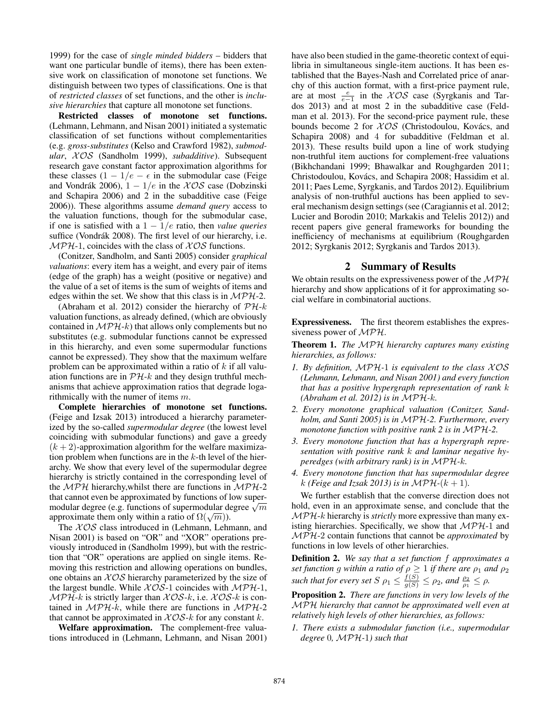1999) for the case of *single minded bidders* – bidders that want one particular bundle of items), there has been extensive work on classification of monotone set functions. We distinguish between two types of classifications. One is that of *restricted classes* of set functions, and the other is *inclusive hierarchies* that capture all monotone set functions.

Restricted classes of monotone set functions. (Lehmann, Lehmann, and Nisan 2001) initiated a systematic classification of set functions without complementarities (e.g. *gross-substitutes* (Kelso and Crawford 1982), *submodular*, X OS (Sandholm 1999), *subadditive*). Subsequent research gave constant factor approximation algorithms for these classes  $(1 - 1/e - \epsilon)$  in the submodular case (Feige and Vondrák 2006),  $1 - 1/e$  in the  $XOS$  case (Dobzinski and Schapira 2006) and 2 in the subadditive case (Feige 2006)). These algorithms assume *demand query* access to the valuation functions, though for the submodular case, if one is satisfied with a 1 − 1/e ratio, then *value queries* suffice (Vondrák 2008). The first level of our hierarchy, i.e.  $MPH-1$ , coincides with the class of  $XOS$  functions.

(Conitzer, Sandholm, and Santi 2005) consider *graphical valuations*: every item has a weight, and every pair of items (edge of the graph) has a weight (positive or negative) and the value of a set of items is the sum of weights of items and edges within the set. We show that this class is in  $MPH-2$ .

(Abraham et al. 2012) consider the hierarchy of  $\mathcal{PH}-k$ valuation functions, as already defined, (which are obviously contained in  $MPH-k$ ) that allows only complements but no substitutes (e.g. submodular functions cannot be expressed in this hierarchy, and even some supermodular functions cannot be expressed). They show that the maximum welfare problem can be approximated within a ratio of  $k$  if all valuation functions are in  $\mathcal{PH}-k$  and they design truthful mechanisms that achieve approximation ratios that degrade logarithmically with the numer of items  $m$ .

Complete hierarchies of monotone set functions. (Feige and Izsak 2013) introduced a hierarchy parameterized by the so-called *supermodular degree* (the lowest level coinciding with submodular functions) and gave a greedy  $(k + 2)$ -approximation algorithm for the welfare maximization problem when functions are in the  $k$ -th level of the hierarchy. We show that every level of the supermodular degree hierarchy is strictly contained in the corresponding level of the  $MPH$  hierarchy, whilst there are functions in  $MPH-2$ that cannot even be approximated by functions of low superthat cannot even be approximated by functions of low super-<br>modular degree (e.g. functions of supermodular degree  $\sqrt{m}$ modular degree (e.g. runctions or supermodular deproximate them only within a ratio of  $\Omega(\sqrt{m})$ ).

The  $XOS$  class introduced in (Lehmann, Lehmann, and Nisan 2001) is based on "OR" and "XOR" operations previously introduced in (Sandholm 1999), but with the restriction that "OR" operations are applied on single items. Removing this restriction and allowing operations on bundles, one obtains an  $XOS$  hierarchy parameterized by the size of the largest bundle. While  $XOS-1$  coincides with  $MPH-1$ ,  $MPH-k$  is strictly larger than  $XOS-k$ , i.e.  $XOS-k$  is contained in  $MPH-k$ , while there are functions in  $MPH-2$ that cannot be approximated in  $XOS-k$  for any constant k.

Welfare approximation. The complement-free valuations introduced in (Lehmann, Lehmann, and Nisan 2001) have also been studied in the game-theoretic context of equilibria in simultaneous single-item auctions. It has been established that the Bayes-Nash and Correlated price of anarchy of this auction format, with a first-price payment rule, are at most  $\frac{e}{e-1}$  in the  $XOS$  case (Syrgkanis and Tardos 2013) and at most 2 in the subadditive case (Feldman et al. 2013). For the second-price payment rule, these bounds become 2 for  $XOS$  (Christodoulou, Kovács, and Schapira 2008) and 4 for subadditive (Feldman et al. 2013). These results build upon a line of work studying non-truthful item auctions for complement-free valuations (Bikhchandani 1999; Bhawalkar and Roughgarden 2011; Christodoulou, Kovács, and Schapira 2008; Hassidim et al. 2011; Paes Leme, Syrgkanis, and Tardos 2012). Equilibrium analysis of non-truthful auctions has been applied to several mechanism design settings (see (Caragiannis et al. 2012; Lucier and Borodin 2010; Markakis and Telelis 2012)) and recent papers give general frameworks for bounding the inefficiency of mechanisms at equilibrium (Roughgarden 2012; Syrgkanis 2012; Syrgkanis and Tardos 2013).

### 2 Summary of Results

We obtain results on the expressiveness power of the  $MPH$ hierarchy and show applications of it for approximating social welfare in combinatorial auctions.

Expressiveness. The first theorem establishes the expressiveness power of MPH.

Theorem 1. *The* MPH *hierarchy captures many existing hierarchies, as follows:*

- *1. By definition,* MPH*-*1 *is equivalent to the class* X OS *(Lehmann, Lehmann, and Nisan 2001) and every function that has a positive hypergraph representation of rank* k *(Abraham et al. 2012) is in* MPH*-*k*.*
- *2. Every monotone graphical valuation (Conitzer, Sandholm, and Santi 2005) is in* MPH*-2. Furthermore, every monotone function with positive rank 2 is in* MPH*-2.*
- *3. Every monotone function that has a hypergraph representation with positive rank* k *and laminar negative hyperedges (with arbitrary rank) is in* MPH*-*k*.*
- *4. Every monotone function that has supermodular degree* k (Feige and Izsak 2013) is in  $\mathcal{MPH}$ - $(k+1)$ .

We further establish that the converse direction does not hold, even in an approximate sense, and conclude that the MPH-k hierarchy is *strictly* more expressive than many existing hierarchies. Specifically, we show that  $MPH-1$  and MPH-2 contain functions that cannot be *approximated* by functions in low levels of other hierarchies.

Definition 2. *We say that a set function* f *approximates a set function* g *within a ratio of*  $\rho \geq 1$  *if there are*  $\rho_1$  *and*  $\rho_2$ *such that for every set*  $S \rho_1 \leq \frac{f(S)}{g(S)} \leq \rho_2$ *, and*  $\frac{\rho_2}{\rho_1} \leq \rho$ *.* 

Proposition 2. *There are functions in very low levels of the* MPH *hierarchy that cannot be approximated well even at relatively high levels of other hierarchies, as follows:*

*1. There exists a submodular function (i.e., supermodular degree* 0*,* MPH*-*1*) such that*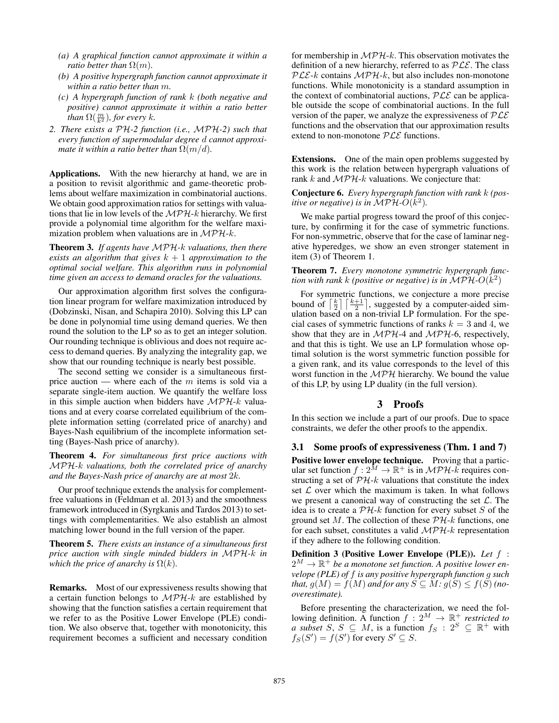- *(a) A graphical function cannot approximate it within a ratio better than*  $\Omega(m)$ *.*
- *(b) A positive hypergraph function cannot approximate it within a ratio better than* m*.*
- *(c) A hypergraph function of rank* k *(both negative and positive) cannot approximate it within a ratio better than*  $\Omega(\frac{m}{k^2})$ *, for every* k.
- *2. There exists a* PH*-2 function (i.e.,* MPH*-2) such that every function of supermodular degree* d *cannot approximate it within a ratio better than*  $\Omega(m/d)$ *.*

Applications. With the new hierarchy at hand, we are in a position to revisit algorithmic and game-theoretic problems about welfare maximization in combinatorial auctions. We obtain good approximation ratios for settings with valuations that lie in low levels of the  $MPH-k$  hierarchy. We first provide a polynomial time algorithm for the welfare maximization problem when valuations are in  $MPH-k$ .

Theorem 3. *If agents have* MPH*-*k *valuations, then there exists an algorithm that gives*  $k + 1$  *approximation to the optimal social welfare. This algorithm runs in polynomial time given an access to demand oracles for the valuations.*

Our approximation algorithm first solves the configuration linear program for welfare maximization introduced by (Dobzinski, Nisan, and Schapira 2010). Solving this LP can be done in polynomial time using demand queries. We then round the solution to the LP so as to get an integer solution. Our rounding technique is oblivious and does not require access to demand queries. By analyzing the integrality gap, we show that our rounding technique is nearly best possible.

The second setting we consider is a simultaneous firstprice auction — where each of the  $m$  items is sold via a separate single-item auction. We quantify the welfare loss in this simple auction when bidders have  $MPH-k$  valuations and at every coarse correlated equilibrium of the complete information setting (correlated price of anarchy) and Bayes-Nash equilibrium of the incomplete information setting (Bayes-Nash price of anarchy).

Theorem 4. *For simultaneous first price auctions with* MPH*-*k *valuations, both the correlated price of anarchy and the Bayes-Nash price of anarchy are at most* 2k*.*

Our proof technique extends the analysis for complementfree valuations in (Feldman et al. 2013) and the smoothness framework introduced in (Syrgkanis and Tardos 2013) to settings with complementarities. We also establish an almost matching lower bound in the full version of the paper.

Theorem 5. *There exists an instance of a simultaneous first price auction with single minded bidders in* MPH*-*k *in which the price of anarchy is*  $\Omega(k)$ *.* 

Remarks. Most of our expressiveness results showing that a certain function belongs to  $MPH-k$  are established by showing that the function satisfies a certain requirement that we refer to as the Positive Lower Envelope (PLE) condition. We also observe that, together with monotonicity, this requirement becomes a sufficient and necessary condition

for membership in  $MPH-k$ . This observation motivates the definition of a new hierarchy, referred to as  $PLE$ . The class  $PLE-k$  contains  $MPH-k$ , but also includes non-monotone functions. While monotonicity is a standard assumption in the context of combinatorial auctions,  $PLE$  can be applicable outside the scope of combinatorial auctions. In the full version of the paper, we analyze the expressiveness of  $PLE$ functions and the observation that our approximation results extend to non-monotone  $PLE$  functions.

Extensions. One of the main open problems suggested by this work is the relation between hypergraph valuations of rank k and  $MPH-k$  valuations. We conjecture that:

Conjecture 6. *Every hypergraph function with rank* k *(positive or negative) is in*  $\widehat{MPH}\text{-}O(k^2)$ *.* 

We make partial progress toward the proof of this conjecture, by confirming it for the case of symmetric functions. For non-symmetric, observe that for the case of laminar negative hyperedges, we show an even stronger statement in item (3) of Theorem 1.

Theorem 7. *Every monotone symmetric hypergraph function with rank k (positive or negative) is in*  $\mathcal{MPH}\text{-}O(k^2)$ 

For symmetric functions, we conjecture a more precise bound of  $\lceil \frac{k}{2} \rceil$   $\lceil \frac{k+1}{2} \rceil$ , suggested by a computer-aided simulation based on a non-trivial LP formulation. For the special cases of symmetric functions of ranks  $k = 3$  and 4, we show that they are in  $MPH-4$  and  $MPH-6$ , respectively, and that this is tight. We use an LP formulation whose optimal solution is the worst symmetric function possible for a given rank, and its value corresponds to the level of this worst function in the  $MPH$  hierarchy. We bound the value of this LP, by using LP duality (in the full version).

# 3 Proofs

In this section we include a part of our proofs. Due to space constraints, we defer the other proofs to the appendix.

### 3.1 Some proofs of expressiveness (Thm. 1 and 7)

Positive lower envelope technique. Proving that a particular set function  $f: 2^{\tilde{M}} \to \mathbb{R}^+$  is in  $\mathcal{MPH}\text{-}k$  requires constructing a set of  $\mathcal{PH}-k$  valuations that constitute the index set  $\mathcal L$  over which the maximum is taken. In what follows we present a canonical way of constructing the set  $\mathcal{L}$ . The idea is to create a  $\mathcal{PH}\text{-}k$  function for every subset S of the ground set M. The collection of these  $\mathcal{PH}-k$  functions, one for each subset, constitutes a valid  $MPH-k$  representation if they adhere to the following condition.

Definition 3 (Positive Lower Envelope (PLE)). *Let* f :  $2^M \to \mathbb{R}^+$  be a monotone set function. A positive lower en*velope (PLE) of* f *is any positive hypergraph function* g *such that,*  $g(M) = f(M)$  *and for any*  $S \subseteq M$ *:*  $g(S) \le f(S)$  *(nooverestimate).*

Before presenting the characterization, we need the following definition. A function  $f : 2^M \to \mathbb{R}^+$  *restricted to a subset*  $S, S \subseteq M$ , is a function  $f_S : 2^S \subseteq \mathbb{R}^+$  with  $f_S(S') = f(S')$  for every  $S' \subseteq S$ .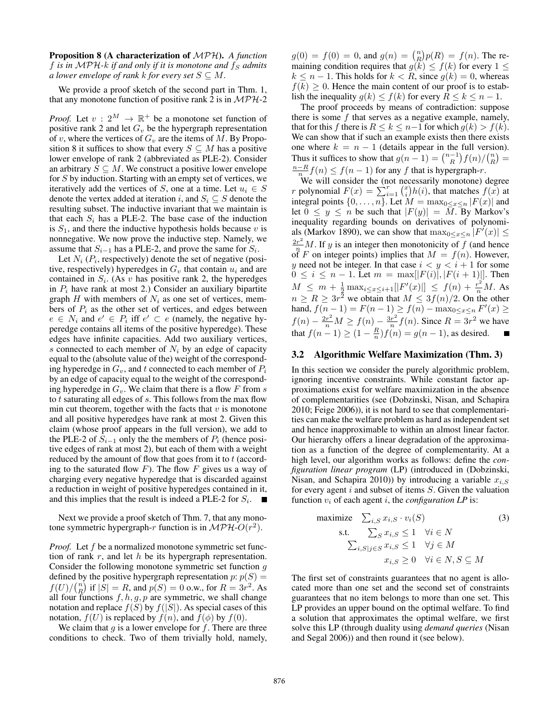Proposition 8 (A characterization of MPH). *A function* f *is in* MPH- $k$  *if and only if it is monotone and*  $f_S$  *admits a lower envelope of rank k for every set*  $S \subseteq M$ .

We provide a proof sketch of the second part in Thm. 1, that any monotone function of positive rank 2 is in  $MPH-2$ 

*Proof.* Let  $v: 2^M \to \mathbb{R}^+$  be a monotone set function of positive rank 2 and let  $G_v$  be the hypergraph representation of v, where the vertices of  $G_v$  are the items of M. By Proposition 8 it suffices to show that every  $S \subseteq M$  has a positive lower envelope of rank 2 (abbreviated as PLE-2). Consider an arbitrary  $S \subseteq M$ . We construct a positive lower envelope for S by induction. Starting with an empty set of vertices, we iteratively add the vertices of S, one at a time. Let  $u_i \in S$ denote the vertex added at iteration i, and  $S_i \subseteq S$  denote the resulting subset. The inductive invariant that we maintain is that each  $S_i$  has a PLE-2. The base case of the induction is  $S_1$ , and there the inductive hypothesis holds because v is nonnegative. We now prove the inductive step. Namely, we assume that  $S_{i-1}$  has a PLE-2, and prove the same for  $S_i$ .

Let  $N_i$  ( $P_i$ , respectively) denote the set of negative (positive, respectively) hyperedges in  $G_v$  that contain  $u_i$  and are contained in  $S_i$ . (As v has positive rank 2, the hyperedges in  $P_i$  have rank at most 2.) Consider an auxiliary bipartite graph H with members of  $N_i$  as one set of vertices, members of  $P_i$  as the other set of vertices, and edges between  $e \in N_i$  and  $e' \in P_i$  iff  $e' \subset e$  (namely, the negative hyperedge contains all items of the positive hyperedge). These edges have infinite capacities. Add two auxiliary vertices, s connected to each member of  $N_i$  by an edge of capacity equal to the (absolute value of the) weight of the corresponding hyperedge in  $G_v$ , and t connected to each member of  $P_i$ by an edge of capacity equal to the weight of the corresponding hyperedge in  $G_v$ . We claim that there is a flow F from s to  $t$  saturating all edges of  $s$ . This follows from the max flow min cut theorem, together with the facts that  $v$  is monotone and all positive hyperedges have rank at most 2. Given this claim (whose proof appears in the full version), we add to the PLE-2 of  $S_{i-1}$  only the the members of  $P_i$  (hence positive edges of rank at most 2), but each of them with a weight reduced by the amount of flow that goes from it to  $t$  (according to the saturated flow  $F$ ). The flow  $F$  gives us a way of charging every negative hyperedge that is discarded against a reduction in weight of positive hyperedges contained in it, and this implies that the result is indeed a PLE-2 for  $S_i$ .

Next we provide a proof sketch of Thm. 7, that any monotone symmetric hypergraph-r function is in  $\mathcal{MPH}\text{-}O(r^2)$ .

*Proof.* Let f be a normalized monotone symmetric set function of rank  $r$ , and let  $h$  be its hypergraph representation. Consider the following monotone symmetric set function  $g$ defined by the positive hypergraph representation  $p: p(S) =$  $f(U)/\binom{n}{R}$  if  $|S| = R$ , and  $p(S) = 0$  o.w., for  $R = 3r^2$ . As all four functions  $f, h, g, p$  are symmetric, we shall change notation and replace  $f(S)$  by  $f(|S|)$ . As special cases of this notation,  $f(U)$  is replaced by  $f(n)$ , and  $f(\phi)$  by  $f(0)$ .

We claim that  $q$  is a lower envelope for  $f$ . There are three conditions to check. Two of them trivially hold, namely,

 $g(0) = f(0) = 0$ , and  $g(n) = {n \choose R} p(R) = f(n)$ . The remaining condition requires that  $g(k) \leq f(k)$  for every  $1 \leq$  $k \leq n-1$ . This holds for  $k \leq R$ , since  $q(k) = 0$ , whereas  $f(k) \geq 0$ . Hence the main content of our proof is to establish the inequality  $g(k) \le f(k)$  for every  $R \le k \le n - 1$ .

The proof proceeds by means of contradiction: suppose there is some  $f$  that serves as a negative example, namely, that for this f there is  $R \leq k \leq n-1$  for which  $q(k) > f(k)$ . We can show that if such an example exists then there exists one where  $k = n - 1$  (details appear in the full version). Thus it suffices to show that  $g(n-1) = \binom{n-1}{R} f(n) / \binom{n}{R} =$  $\frac{n-R}{n}f(n) \le f(n-1)$  for any f that is hypergraph-r.

We will consider the (not necessarily monotone) degree r polynomial  $F(x) = \sum_{i=1}^{r} {x \choose i} h(i)$ , that matches  $f(x)$  at integral points  $\{0, \ldots, n\}$ . Let  $M = \max_{0 \le x \le n} |F(x)|$  and let  $0 \le y \le n$  be such that  $|F(y)| = \overline{M}$ . By Markov's inequality regarding bounds on derivatives of polynomials (Markov 1890), we can show that  $\max_{0 \le x \le n} |F'(x)| \le$  $\frac{2r^2}{r^2}M$ . If y is an integer then monotonicity of f (and hence of F on integer points) implies that  $M = f(n)$ . However, y need not be integer. In that case  $i < y < i + 1$  for some  $0 \le i \le n-1$ . Let  $m = \max[|F(i)|, |F(i+1)|]$ . Then  $M \leq m + \frac{1}{2} \max_{i \leq x \leq i+1} [|F'(x)|] \leq f(n) + \frac{r^2}{n} M$ . As  $n \ge R \ge 3r^2$  we obtain that  $M \le 3f(n)/2$ . On the other hand,  $f(n-1) = F(n-1) \ge f(n) - \max_{0 \le x \le n} F'(x) \ge$  $f(n) - \frac{2r^2}{n}M \ge f(n) - \frac{3r^2}{n}$  $\frac{r^{2}}{n} f(n)$ . Since  $R = 3r^{2}$  we have that  $f(n-1) \ge (1 - \frac{R}{n})f(n) = g(n-1)$ , as desired.

#### 3.2 Algorithmic Welfare Maximization (Thm. 3)

In this section we consider the purely algorithmic problem, ignoring incentive constraints. While constant factor approximations exist for welfare maximization in the absence of complementarities (see (Dobzinski, Nisan, and Schapira 2010; Feige 2006)), it is not hard to see that complementarities can make the welfare problem as hard as independent set and hence inapproximable to within an almost linear factor. Our hierarchy offers a linear degradation of the approximation as a function of the degree of complementarity. At a high level, our algorithm works as follows: define the *configuration linear program* (LP) (introduced in (Dobzinski, Nisan, and Schapira 2010)) by introducing a variable  $x_{i,S}$ for every agent  $i$  and subset of items  $S$ . Given the valuation function  $v_i$  of each agent i, the *configuration LP* is:

maximize 
$$
\sum_{i,S} x_{i,S} \cdot v_i(S)
$$
 (3)  
\n  
\n
$$
\text{s.t. } \sum_{S} x_{i,S} \le 1 \quad \forall i \in N
$$
\n
$$
\sum_{i,S|j \in S} x_{i,S} \le 1 \quad \forall j \in M
$$
\n
$$
x_{i,S} \ge 0 \quad \forall i \in N, S \subseteq M
$$

The first set of constraints guarantees that no agent is allocated more than one set and the second set of constraints guarantees that no item belongs to more than one set. This LP provides an upper bound on the optimal welfare. To find a solution that approximates the optimal welfare, we first solve this LP (through duality using *demand queries* (Nisan and Segal 2006)) and then round it (see below).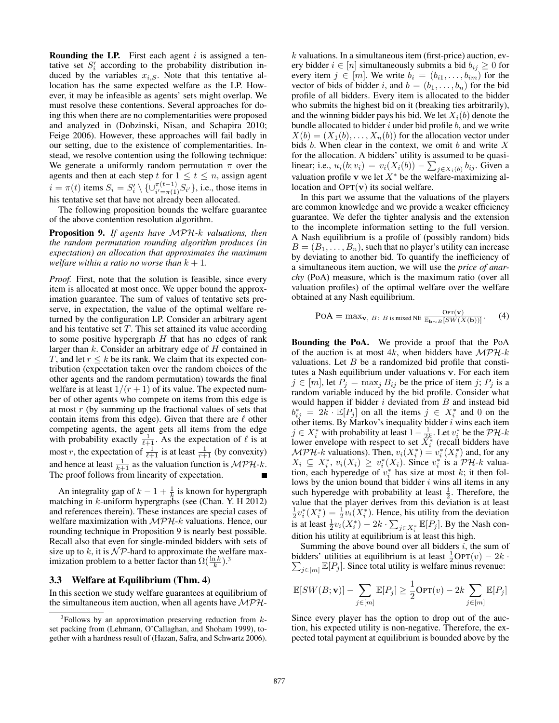**Rounding the LP.** First each agent  $i$  is assigned a tentative set  $S_i'$  according to the probability distribution induced by the variables  $x_{i,S}$ . Note that this tentative allocation has the same expected welfare as the LP. However, it may be infeasible as agents' sets might overlap. We must resolve these contentions. Several approaches for doing this when there are no complementarities were proposed and analyzed in (Dobzinski, Nisan, and Schapira 2010; Feige 2006). However, these approaches will fail badly in our setting, due to the existence of complementarities. Instead, we resolve contention using the following technique: We generate a uniformly random permutation  $\pi$  over the agents and then at each step t for  $1 \le t \le n$ , assign agent  $i = \pi(t)$  items  $S_i = S'_i \setminus \{ \cup_{i' = \pi(1)}^{\pi(t-1)} S_{i'} \}$ , i.e., those items in his tentative set that have not already been allocated.

The following proposition bounds the welfare guarantee of the above contention resolution algorithm.

Proposition 9. *If agents have* MPH*-*k *valuations, then the random permutation rounding algorithm produces (in expectation) an allocation that approximates the maximum welfare within a ratio no worse than*  $k + 1$ .

*Proof.* First, note that the solution is feasible, since every item is allocated at most once. We upper bound the approximation guarantee. The sum of values of tentative sets preserve, in expectation, the value of the optimal welfare returned by the configuration LP. Consider an arbitrary agent and his tentative set  $T$ . This set attained its value according to some positive hypergraph  $H$  that has no edges of rank larger than  $k$ . Consider an arbitrary edge of  $H$  contained in T, and let  $r \leq k$  be its rank. We claim that its expected contribution (expectation taken over the random choices of the other agents and the random permutation) towards the final welfare is at least  $1/(r+1)$  of its value. The expected number of other agents who compete on items from this edge is at most r (by summing up the fractional values of sets that contain items from this edge). Given that there are  $\ell$  other competing agents, the agent gets all items from the edge with probability exactly  $\frac{1}{\ell+1}$ . As the expectation of  $\ell$  is at most r, the expectation of  $\frac{1}{\ell+1}$  is at least  $\frac{1}{r+1}$  (by convexity) and hence at least  $\frac{1}{k+1}$  as the valuation function is  $\mathcal{MPH-}k$ . The proof follows from linearity of expectation.

An integrality gap of  $k - 1 + \frac{1}{k}$  is known for hypergraph matching in  $k$ -uniform hypergraphs (see (Chan. Y. H 2012) and references therein). These instances are special cases of welfare maximization with  $MPH-k$  valuations. Hence, our rounding technique in Proposition 9 is nearly best possible. Recall also that even for single-minded bidders with sets of size up to  $k$ , it is  $\mathcal{NP}$ -hard to approximate the welfare maximization problem to a better factor than  $\Omega(\frac{\ln k}{k})$ .<sup>3</sup>

#### 3.3 Welfare at Equilibrium (Thm. 4)

In this section we study welfare guarantees at equilibrium of the simultaneous item auction, when all agents have  $MPH$ -

 $k$  valuations. In a simultaneous item (first-price) auction, every bidder  $i \in [n]$  simultaneously submits a bid  $b_{ij} \geq 0$  for every item  $j \in [m]$ . We write  $b_i = (b_{i1}, \ldots, b_{im})$  for the vector of bids of bidder i, and  $b = (b_1, \ldots, b_n)$  for the bid profile of all bidders. Every item is allocated to the bidder who submits the highest bid on it (breaking ties arbitrarily), and the winning bidder pays his bid. We let  $X_i(b)$  denote the bundle allocated to bidder  $i$  under bid profile  $b$ , and we write  $X(b) = (X_1(b), \ldots, X_n(b))$  for the allocation vector under bids  $b$ . When clear in the context, we omit  $b$  and write  $X$ for the allocation. A bidders' utility is assumed to be quasilinear; i.e.,  $u_i(b; v_i) = v_i(X_i(b)) - \sum_{j \in X_i(b)} b_{ij}$ . Given a valuation profile v we let  $X^*$  be the welfare-maximizing allocation and  $\text{OPT}(\mathbf{v})$  its social welfare.

In this part we assume that the valuations of the players are common knowledge and we provide a weaker efficiency guarantee. We defer the tighter analysis and the extension to the incomplete information setting to the full version. A Nash equilibrium is a profile of (possibly random) bids  $B = (B_1, \ldots, B_n)$ , such that no player's utility can increase by deviating to another bid. To quantify the inefficiency of a simultaneous item auction, we will use the *price of anarchy* (PoA) measure, which is the maximum ratio (over all valuation profiles) of the optimal welfare over the welfare obtained at any Nash equilibrium.

$$
\text{POA} = \max_{\mathbf{v}, B \colon B \text{ is mixed NE}} \frac{\text{Opt}(\mathbf{v})}{\mathbb{E}_{\mathbf{b} \sim B}[\text{SW}(X(\mathbf{b}))]}.
$$
 (4)

Bounding the PoA. We provide a proof that the PoA of the auction is at most 4k, when bidders have  $MPH-k$ valuations. Let  $B$  be a randomized bid profile that constitutes a Nash equilibrium under valuations v. For each item  $j \in [m]$ , let  $P_j = \max_j B_{ij}$  be the price of item j;  $P_j$  is a random variable induced by the bid profile. Consider what would happen if bidder  $i$  deviated from  $B$  and instead bid  $b_{ij}^* = 2k \cdot \mathbb{E}[P_j]$  on all the items  $j \in X_i^*$  and 0 on the other items. By Markov's inequality bidder  $i$  wins each item  $j \in X_i^*$  with probability at least  $1 - \frac{1}{2k}$ . Let  $v_i^*$  be the  $\mathcal{PH}-k$ lower envelope with respect to set  $\tilde{X}_i^*$  (recall bidders have  $MPH$ -k valuations). Then,  $v_i(X_i^*) = v_i^*(X_i^*)$  and, for any  $X_i \subseteq X_i^*$ ,  $v_i(X_i) \geq v_i^*(X_i)$ . Since  $v_i^*$  is a  $\mathcal{PH}\text{-}k$  valuation, each hyperedge of  $v_i^*$  has size at most k; it then follows by the union bound that bidder  $i$  wins all items in any such hyperedge with probability at least  $\frac{1}{2}$ . Therefore, the value that the player derives from this deviation is at least  $\frac{1}{2}v_i^*(X_i^*) = \frac{1}{2}v_i(X_i^*)$ . Hence, his utility from the deviation is at least  $\frac{1}{2}v_i(X_i^*) - 2k \cdot \sum_{j \in X_i^*} \mathbb{E}[P_j]$ . By the Nash condition his utility at equilibrium is at least this high.

Summing the above bound over all bidders  $i$ , the sum of bidders' utilities at equilibrium is at least  $\frac{1}{2} \text{OPT}(v) - 2k$ .  $\sum_{j \in [m]} \mathbb{E}[P_j]$ . Since total utility is welfare minus revenue:

$$
\mathbb{E}[SW(B; \mathbf{v})] - \sum_{j \in [m]} \mathbb{E}[P_j] \ge \frac{1}{2} \text{OPT}(v) - 2k \sum_{j \in [m]} \mathbb{E}[P_j]
$$

Since every player has the option to drop out of the auction, his expected utility is non-negative. Therefore, the expected total payment at equilibrium is bounded above by the

 $3$ Follows by an approximation preserving reduction from  $k$ set packing from (Lehmann, O'Callaghan, and Shoham 1999), together with a hardness result of (Hazan, Safra, and Schwartz 2006).